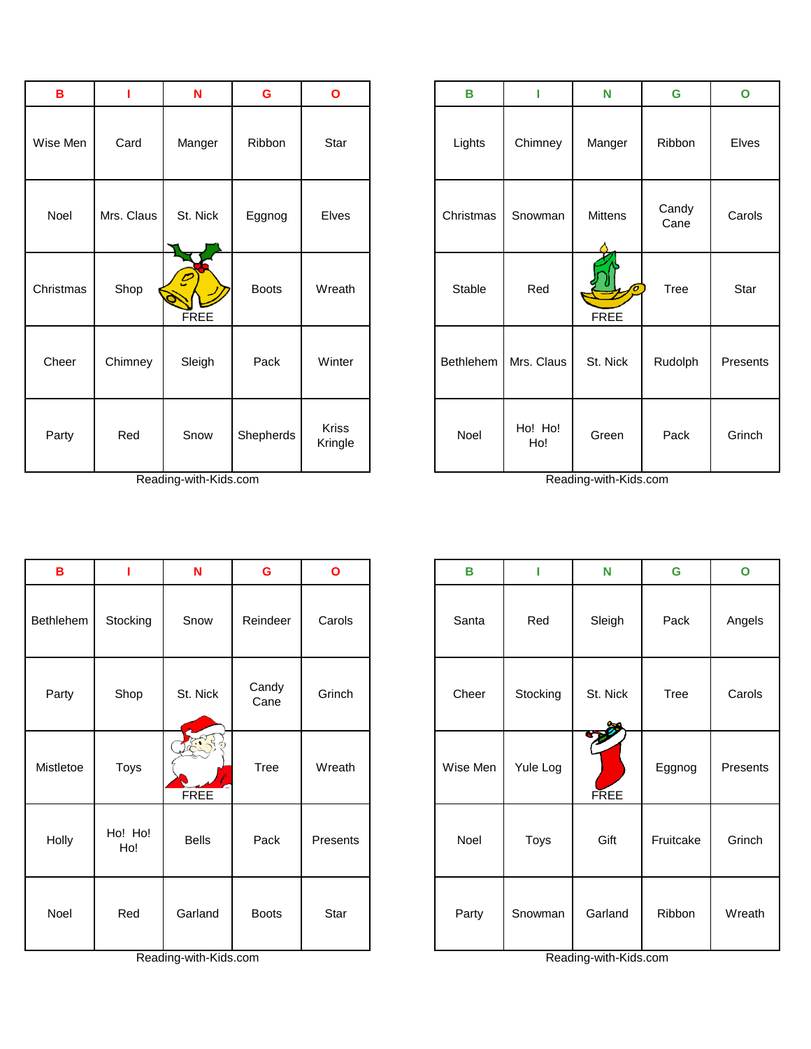| B         |            | N                | G            | $\mathbf{o}$            | B                | П              | N              | G             | $\mathbf{o}$ |
|-----------|------------|------------------|--------------|-------------------------|------------------|----------------|----------------|---------------|--------------|
| Wise Men  | Card       | Manger           | Ribbon       | Star                    | Lights           | Chimney        | Manger         | Ribbon        | Elves        |
| Noel      | Mrs. Claus | St. Nick         | Eggnog       | <b>Elves</b>            | Christmas        | Snowman        | <b>Mittens</b> | Candy<br>Cane | Carols       |
| Christmas | Shop       | C<br><b>FREE</b> | <b>Boots</b> | Wreath                  | Stable           | Red            | <b>FREE</b>    | Tree          | Star         |
| Cheer     | Chimney    | Sleigh           | Pack         | Winter                  | <b>Bethlehem</b> | Mrs. Claus     | St. Nick       | Rudolph       | Presen       |
| Party     | Red        | Snow             | Shepherds    | <b>Kriss</b><br>Kringle | Noel             | Ho! Ho!<br>Ho! | Green          | Pack          | Grinch       |

| в         |                | N                   | G             | $\mathbf{o}$ | B        | I        | N                 | G         | $\mathbf{o}$ |
|-----------|----------------|---------------------|---------------|--------------|----------|----------|-------------------|-----------|--------------|
| Bethlehem | Stocking       | Snow                | Reindeer      | Carols       | Santa    | Red      | Sleigh            | Pack      | Angels       |
| Party     | Shop           | St. Nick            | Candy<br>Cane | Grinch       | Cheer    | Stocking | St. Nick          | Tree      | Carols       |
| Mistletoe | Toys           | F. R<br><b>FREE</b> | <b>Tree</b>   | Wreath       | Wise Men | Yule Log | DE<br><b>FREE</b> | Eggnog    | Present      |
| Holly     | Ho! Ho!<br>Ho! | <b>Bells</b>        | Pack          | Presents     | Noel     | Toys     | Gift              | Fruitcake | Grinch       |
| Noel      | Red            | Garland             | <b>Boots</b>  | Star         | Party    | Snowman  | Garland           | Ribbon    | Wreath       |

| B        |            | N                | G            | $\mathbf{o}$            | $\mathbf B$ | п              | N           | G             | $\mathbf{o}$ |
|----------|------------|------------------|--------------|-------------------------|-------------|----------------|-------------|---------------|--------------|
| ise Men  | Card       | Manger           | Ribbon       | Star                    | Lights      | Chimney        | Manger      | Ribbon        | Elves        |
| Noel     | Mrs. Claus | St. Nick         | Eggnog       | Elves                   | Christmas   | Snowman        | Mittens     | Candy<br>Cane | Carols       |
| าristmas | Shop       | C<br><b>FREE</b> | <b>Boots</b> | Wreath                  | Stable      | Red            | <b>FREE</b> | <b>Tree</b>   | Star         |
| Cheer    | Chimney    | Sleigh           | Pack         | Winter                  | Bethlehem   | Mrs. Claus     | St. Nick    | Rudolph       | Presents     |
| Party    | Red        | Snow             | Shepherds    | <b>Kriss</b><br>Kringle | Noel        | Ho! Ho!<br>Ho! | Green       | Pack          | Grinch       |

| $\mathbf B$ |                | N                      | G             | $\mathbf{o}$ | B        |          | N                  | G           | $\mathbf{o}$ |
|-------------|----------------|------------------------|---------------|--------------|----------|----------|--------------------|-------------|--------------|
| hlehem      | Stocking       | Snow                   | Reindeer      | Carols       | Santa    | Red      | Sleigh             | Pack        | Angels       |
| Party       | Shop           | St. Nick               | Candy<br>Cane | Grinch       | Cheer    | Stocking | St. Nick           | <b>Tree</b> | Carols       |
| stletoe     | Toys           | F. S. R<br><b>FREE</b> | <b>Tree</b>   | Wreath       | Wise Men | Yule Log | 200<br><b>FREE</b> | Eggnog      | Presents     |
| Holly       | Ho! Ho!<br>Ho! | <b>Bells</b>           | Pack          | Presents     | Noel     | Toys     | Gift               | Fruitcake   | Grinch       |
| Noel        | Red            | Garland                | <b>Boots</b>  | Star         | Party    | Snowman  | Garland            | Ribbon      | Wreath       |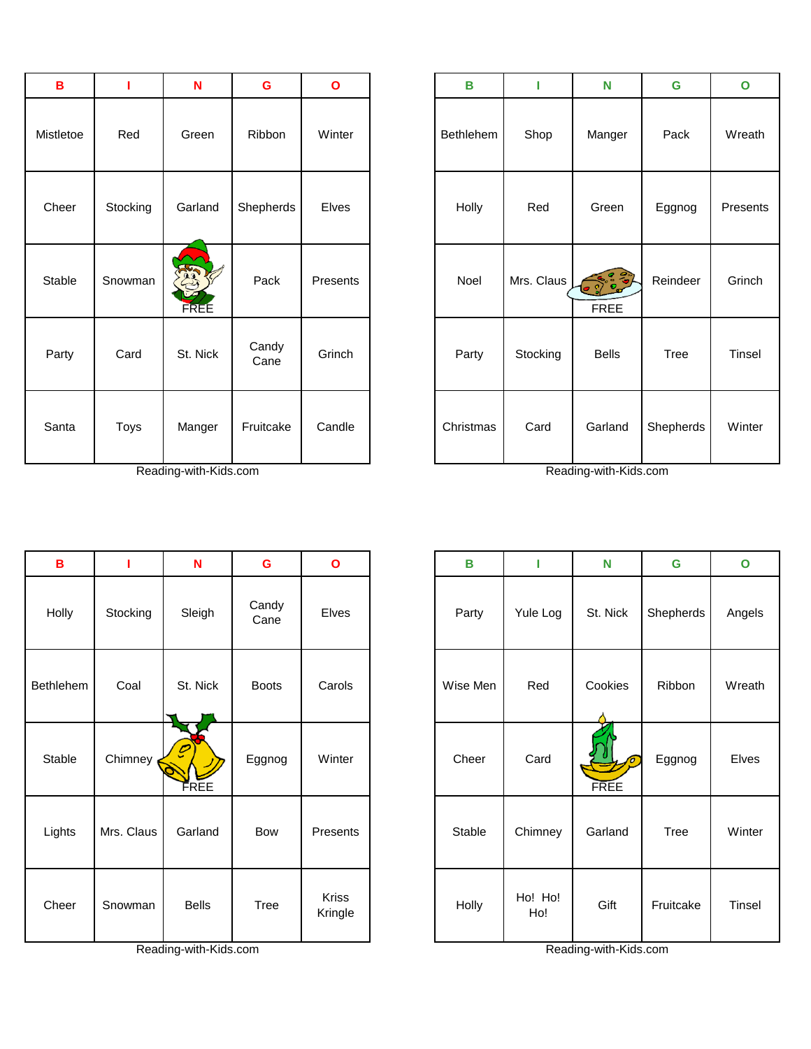| B         |          | N                   | G             | $\mathbf{o}$ | В         |            | N                     | G         | $\mathbf{o}$ |
|-----------|----------|---------------------|---------------|--------------|-----------|------------|-----------------------|-----------|--------------|
| Mistletoe | Red      | Green               | Ribbon        | Winter       | Bethlehem | Shop       | Manger                | Pack      | Wreath       |
| Cheer     | Stocking | Garland             | Shepherds     | Elves        | Holly     | Red        | Green                 | Eggnog    | Present:     |
| Stable    | Snowman  | REST<br><b>FREE</b> | Pack          | Presents     | Noel      | Mrs. Claus | 000000<br><b>FREE</b> | Reindeer  | Grinch       |
| Party     | Card     | St. Nick            | Candy<br>Cane | Grinch       | Party     | Stocking   | <b>Bells</b>          | Tree      | Tinsel       |
| Santa     | Toys     | Manger              | Fruitcake     | Candle       | Christmas | Card       | Garland               | Shepherds | Winter       |

| B         | т        | N                     | G             | $\mathbf{o}$ | В         | П          | N                      | G         | $\mathbf{o}$ |
|-----------|----------|-----------------------|---------------|--------------|-----------|------------|------------------------|-----------|--------------|
| listletoe | Red      | Green                 | Ribbon        | Winter       | Bethlehem | Shop       | Manger                 | Pack      | Wreath       |
| Cheer     | Stocking | Garland               | Shepherds     | Elves        | Holly     | Red        | Green                  | Eggnog    | Presents     |
| Stable    | Snowman  | Regi<br><b>FREE</b>   | Pack          | Presents     | Noel      | Mrs. Claus | $-2000$<br><b>FREE</b> | Reindeer  | Grinch       |
| Party     | Card     | St. Nick              | Candy<br>Cane | Grinch       | Party     | Stocking   | <b>Bells</b>           | Tree      | Tinsel       |
| Santa     | Toys     | Manger                | Fruitcake     | Candle       | Christmas | Card       | Garland                | Shepherds | Winter       |
|           |          | Reading-with-Kids.com |               |              |           |            | Reading-with-Kids.com  |           |              |

 $\mathbf{r}$ 

| $\mathbf B$      |            | $\mathbf N$                      | $\mathbf G$   | $\mathbf{o}$     | $\, {\bf B}$ | П              | N           | G         | $\mathbf{o}$ |
|------------------|------------|----------------------------------|---------------|------------------|--------------|----------------|-------------|-----------|--------------|
| Holly            | Stocking   | Sleigh                           | Candy<br>Cane | Elves            | Party        | Yule Log       | St. Nick    | Shepherds | Angels       |
| <b>Bethlehem</b> | Coal       | St. Nick                         | <b>Boots</b>  | Carols           | Wise Men     | Red            | Cookies     | Ribbon    | Wreath       |
| Stable           | Chimney    | $\overline{\mathcal{C}}$<br>FREE | Eggnog        | Winter           | Cheer        | Card           | <b>FREE</b> | Eggnog    | Elves        |
| Lights           | Mrs. Claus | Garland                          | Bow           | Presents         | Stable       | Chimney        | Garland     | Tree      | Winter       |
| Cheer            | Snowman    | <b>Bells</b>                     | Tree          | Kriss<br>Kringle | Holly        | Ho! Ho!<br>Ho! | Gift        | Fruitcake | Tinsel       |

| B       |            | N            | G             | $\mathbf{o}$     | B        |                | N                | $\mathbf G$ | $\mathbf{o}$ |
|---------|------------|--------------|---------------|------------------|----------|----------------|------------------|-------------|--------------|
| Holly   | Stocking   | Sleigh       | Candy<br>Cane | Elves            | Party    | Yule Log       | St. Nick         | Shepherds   | Angels       |
| thlehem | Coal       | St. Nick     | <b>Boots</b>  | Carols           | Wise Men | Red            | Cookies          | Ribbon      | Wreath       |
| Stable  | Chimney    | FREE         | Eggnog        | Winter           | Cheer    | Card           | ъ<br><b>FREE</b> | Eggnog      | Elves        |
| Lights  | Mrs. Claus | Garland      | Bow           | Presents         | Stable   | Chimney        | Garland          | Tree        | Winter       |
| Cheer   | Snowman    | <b>Bells</b> | Tree          | Kriss<br>Kringle | Holly    | Ho! Ho!<br>Ho! | Gift             | Fruitcake   | Tinsel       |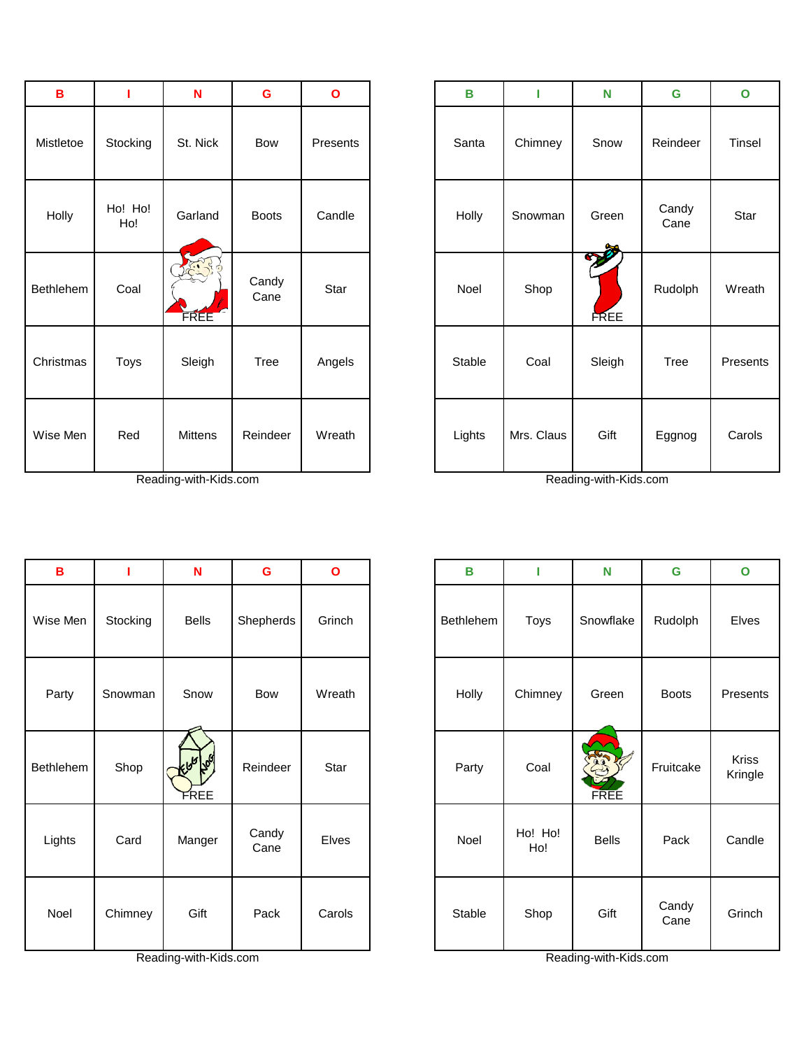| $\mathbf B$ | ı              | $\mathbf N$           | G             | $\mathbf{o}$ | B      | п          | N                 | G             | $\mathbf{o}$ |
|-------------|----------------|-----------------------|---------------|--------------|--------|------------|-------------------|---------------|--------------|
| Mistletoe   | Stocking       | St. Nick              | <b>Bow</b>    | Presents     | Santa  | Chimney    | Snow              | Reindeer      | Tinsel       |
| Holly       | Ho! Ho!<br>Ho! | Garland               | <b>Boots</b>  | Candle       | Holly  | Snowman    | Green             | Candy<br>Cane | Star         |
| Bethlehem   | Coal           | 75.550<br><b>FREE</b> | Candy<br>Cane | Star         | Noel   | Shop       | DE<br><b>FREE</b> | Rudolph       | Wreath       |
| Christmas   | Toys           | Sleigh                | Tree          | Angels       | Stable | Coal       | Sleigh            | Tree          | Presents     |
| Wise Men    | Red            | Mittens               | Reindeer      | Wreath       | Lights | Mrs. Claus | Gift              | Eggnog        | Carols       |

| B         |          | N                                  | G             | $\mathbf{o}$ | B         | т              | N                    | G             | $\mathbf{o}$     |
|-----------|----------|------------------------------------|---------------|--------------|-----------|----------------|----------------------|---------------|------------------|
| Wise Men  | Stocking | <b>Bells</b>                       | Shepherds     | Grinch       | Bethlehem | Toys           | Snowflake            | Rudolph       | Elves            |
| Party     | Snowman  | Snow                               | Bow           | Wreath       | Holly     | Chimney        | Green                | <b>Boots</b>  | Presen           |
| Bethlehem | Shop     | ل <i>گه</i> ا کلوبایر<br>ا<br>FREE | Reindeer      | Star         | Party     | Coal           | <b>RESTA</b><br>FREE | Fruitcake     | Kriss<br>Kringle |
| Lights    | Card     | Manger                             | Candy<br>Cane | Elves        | Noel      | Ho! Ho!<br>Ho! | <b>Bells</b>         | Pack          | Candle           |
| Noel      | Chimney  | Gift                               | Pack          | Carols       | Stable    | Shop           | Gift                 | Candy<br>Cane | Grinch           |

| B      |                | N                    | $\mathbf G$   | $\mathbf{o}$ | $\, {\bf B}$ |            | N                 | G             | $\mathbf{o}$  |
|--------|----------------|----------------------|---------------|--------------|--------------|------------|-------------------|---------------|---------------|
| tletoe | Stocking       | St. Nick             | Bow           | Presents     | Santa        | Chimney    | Snow              | Reindeer      | <b>Tinsel</b> |
| olly   | Ho! Ho!<br>Ho! | Garland              | <b>Boots</b>  | Candle       | Holly        | Snowman    | Green             | Candy<br>Cane | Star          |
| lehem  | Coal           | 28.39<br><b>FREE</b> | Candy<br>Cane | Star         | Noel         | Shop       | DE<br><b>FREE</b> | Rudolph       | Wreath        |
| stmas  | Toys           | Sleigh               | Tree          | Angels       | Stable       | Coal       | Sleigh            | Tree          | Presents      |
| e Men  | Red            | Mittens              | Reindeer      | Wreath       | Lights       | Mrs. Claus | Gift              | Eggnog        | Carols        |

| $\, {\bf B}$ | т        | $\mathbf N$          | G             | $\mathbf{o}$ | B         | ı              | N                    | G             | $\mathbf{o}$     |
|--------------|----------|----------------------|---------------|--------------|-----------|----------------|----------------------|---------------|------------------|
| ise Men      | Stocking | <b>Bells</b>         | Shepherds     | Grinch       | Bethlehem | Toys           | Snowflake            | Rudolph       | Elves            |
| Party        | Snowman  | Snow                 | Bow           | Wreath       | Holly     | Chimney        | Green                | <b>Boots</b>  | Presents         |
| thlehem      | Shop     | إكليها كلحاء<br>FREE | Reindeer      | Star         | Party     | Coal           | Regis<br><b>FREE</b> | Fruitcake     | Kriss<br>Kringle |
| Lights       | Card     | Manger               | Candy<br>Cane | Elves        | Noel      | Ho! Ho!<br>Ho! | <b>Bells</b>         | Pack          | Candle           |
| Noel         | Chimney  | Gift                 | Pack          | Carols       | Stable    | Shop           | Gift                 | Candy<br>Cane | Grinch           |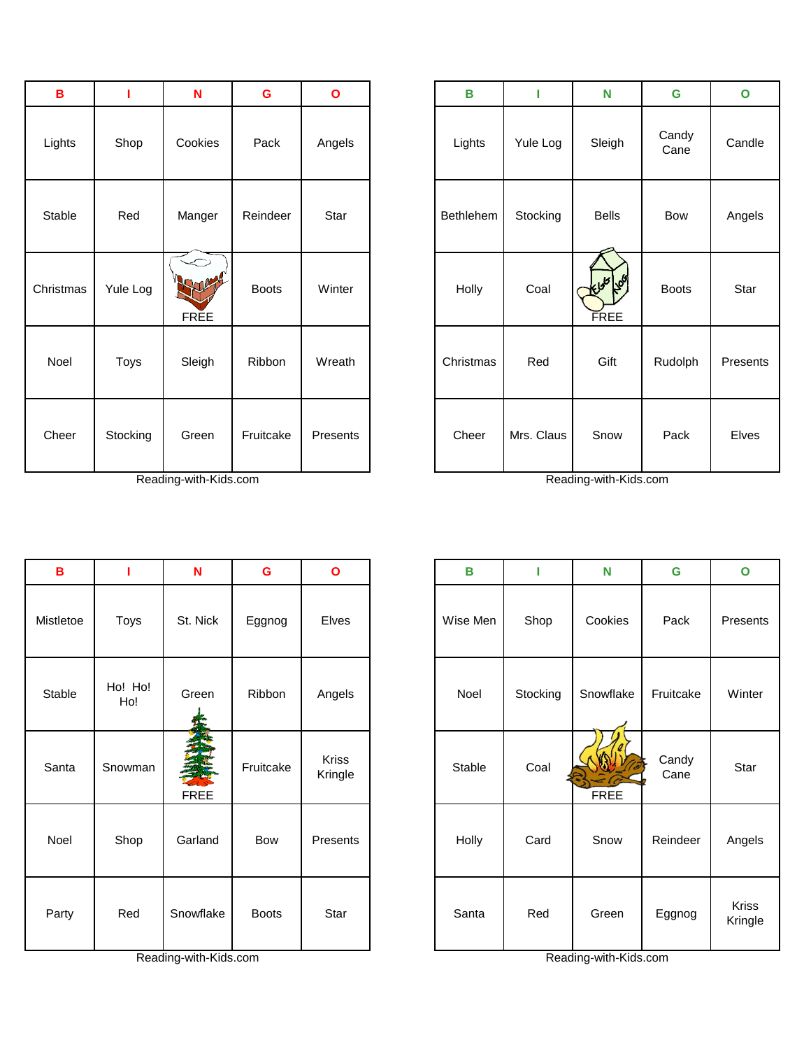| $\, {\bf B}$ |          | ${\sf N}$                          | G            | $\mathbf{o}$ | $\, {\bf B}$ | П          | N                             | G             | $\mathbf{o}$ |
|--------------|----------|------------------------------------|--------------|--------------|--------------|------------|-------------------------------|---------------|--------------|
| Lights       | Shop     | Cookies                            | Pack         | Angels       | Lights       | Yule Log   | Sleigh                        | Candy<br>Cane | Candle       |
| Stable       | Red      | Manger                             | Reindeer     | Star         | Bethlehem    | Stocking   | <b>Bells</b>                  | Bow           | Angel:       |
| Christmas    | Yule Log | $\leftarrow$<br>Sur<br><b>FREE</b> | <b>Boots</b> | Winter       | Holly        | Coal       | الكلم <i>كلمان</i> كم<br>FREE | <b>Boots</b>  | Star         |
| Noel         | Toys     | Sleigh                             | Ribbon       | Wreath       | Christmas    | Red        | Gift                          | Rudolph       | Presen       |
| Cheer        | Stocking | Green                              | Fruitcake    | Presents     | Cheer        | Mrs. Claus | Snow                          | Pack          | Elves        |

| в         |                | N         | G            | O                       |
|-----------|----------------|-----------|--------------|-------------------------|
| Mistletoe | Toys           | St. Nick  | Eggnog       | <b>Elves</b>            |
| Stable    | Ho! Ho!<br>Ho! | Green     | Ribbon       | Angels                  |
| Santa     | Snowman        | FREE      | Fruitcake    | <b>Kriss</b><br>Kringle |
| Noel      | Shop           | Garland   | Bow          | Presents                |
| Party     | Red            | Snowflake | <b>Boots</b> | Star                    |

| в        | ı        | N                   | $\mathbf G$  | $\mathbf{o}$ | B         | п          | N                   | G             | $\mathbf{o}$ |
|----------|----------|---------------------|--------------|--------------|-----------|------------|---------------------|---------------|--------------|
| Lights   | Shop     | Cookies             | Pack         | Angels       | Lights    | Yule Log   | Sleigh              | Candy<br>Cane | Candle       |
| Stable   | Red      | Manger              | Reindeer     | Star         | Bethlehem | Stocking   | <b>Bells</b>        | Bow           | Angels       |
| hristmas | Yule Log | Kyne<br><b>FREE</b> | <b>Boots</b> | Winter       | Holly     | Coal       | إكلها لحليل<br>FREE | <b>Boots</b>  | Star         |
| Noel     | Toys     | Sleigh              | Ribbon       | Wreath       | Christmas | Red        | Gift                | Rudolph       | Presents     |
| Cheer    | Stocking | Green               | Fruitcake    | Presents     | Cheer     | Mrs. Claus | Snow                | Pack          | Elves        |

| B         |                | $\mathbf N$      | $\mathbf G$  | $\mathbf{o}$            | B        | п        | N         | G             | $\mathbf{o}$            |
|-----------|----------------|------------------|--------------|-------------------------|----------|----------|-----------|---------------|-------------------------|
| Mistletoe | Toys           | St. Nick         | Eggnog       | Elves                   | Wise Men | Shop     | Cookies   | Pack          | Presents                |
| Stable    | Ho! Ho!<br>Ho! | Green            | Ribbon       | Angels                  | Noel     | Stocking | Snowflake | Fruitcake     | Winter                  |
| Santa     | Snowman        | 三<br><b>FREE</b> | Fruitcake    | <b>Kriss</b><br>Kringle | Stable   | Coal     | FREE      | Candy<br>Cane | Star                    |
| Noel      | Shop           | Garland          | Bow          | Presents                | Holly    | Card     | Snow      | Reindeer      | Angels                  |
| Party     | Red            | Snowflake        | <b>Boots</b> | Star                    | Santa    | Red      | Green     | Eggnog        | <b>Kriss</b><br>Kringle |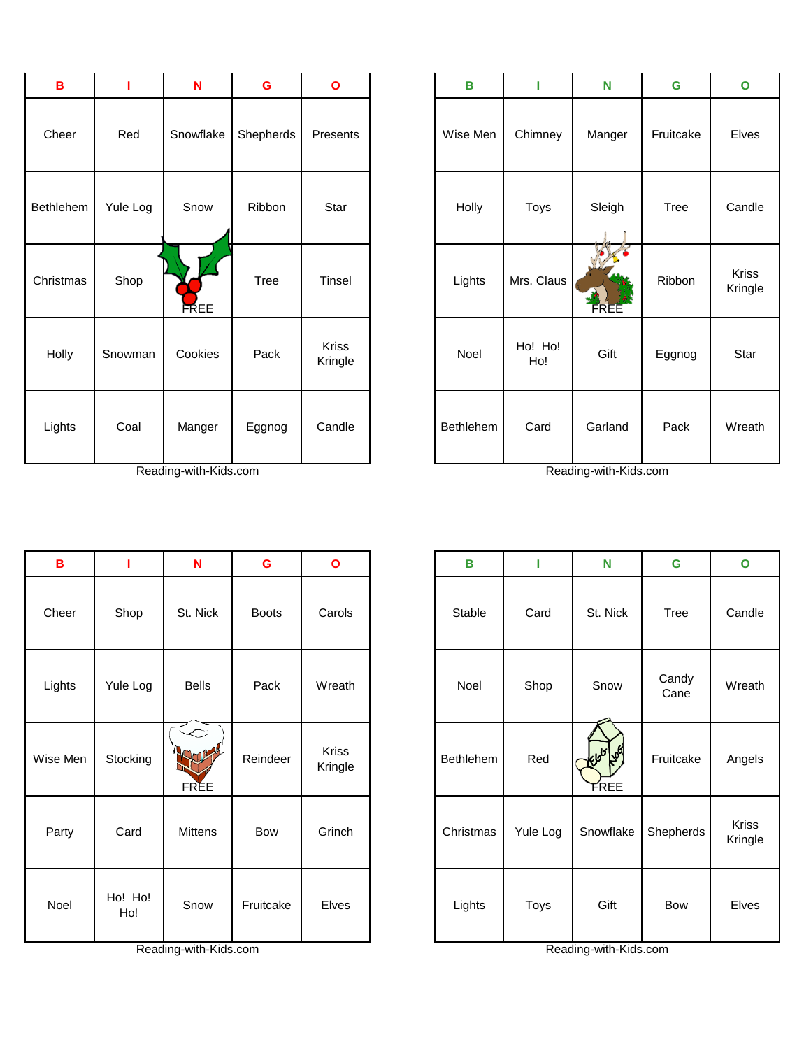| B         |          | N           | G         | $\mathbf{o}$     | В         | I              | N       | G           | $\mathbf{o}$            |
|-----------|----------|-------------|-----------|------------------|-----------|----------------|---------|-------------|-------------------------|
| Cheer     | Red      | Snowflake   | Shepherds | Presents         | Wise Men  | Chimney        | Manger  | Fruitcake   | Elves                   |
| Bethlehem | Yule Log | Snow        | Ribbon    | Star             | Holly     | Toys           | Sleigh  | <b>Tree</b> | Candle                  |
| Christmas | Shop     | <b>FREE</b> | Tree      | Tinsel           | Lights    | Mrs. Claus     | FREE    | Ribbon      | <b>Kriss</b><br>Kringle |
| Holly     | Snowman  | Cookies     | Pack      | Kriss<br>Kringle | Noel      | Ho! Ho!<br>Ho! | Gift    | Eggnog      | Star                    |
| Lights    | Coal     | Manger      | Eggnog    | Candle           | Bethlehem | Card           | Garland | Pack        | Wreath                  |

Reading-with-Kids.com Reading-with-Kids.com

| $\, {\bf B}$ | т              | N                                                                    | $\mathbf G$ | $\mathbf{o}$     | B         |                | N                              | $\mathbf G$ | $\mathbf{o}$     |
|--------------|----------------|----------------------------------------------------------------------|-------------|------------------|-----------|----------------|--------------------------------|-------------|------------------|
| Cheer        | Red            | Snowflake                                                            | Shepherds   | Presents         | Wise Men  | Chimney        | Manger                         | Fruitcake   | Elves            |
| thlehem      | Yule Log       | Snow                                                                 | Ribbon      | Star             | Holly     | Toys           | Sleigh                         | Tree        | Candle           |
| าristmas     | Shop           | <b>FREE</b>                                                          | Tree        | Tinsel           | Lights    | Mrs. Claus     | <b>FREE</b>                    | Ribbon      | Kriss<br>Kringle |
| Holly        | Snowman        | Cookies                                                              | Pack        | Kriss<br>Kringle | Noel      | Ho! Ho!<br>Ho! | Gift                           | Eggnog      | Star             |
| Lights       | Coal<br>$\sim$ | Manger<br>$\mathbf{r}$ and $\mathbf{r}$ and $\mathbf{r}$<br>$\cdots$ | Eggnog      | Candle           | Bethlehem | Card<br>$\sim$ | Garland<br>$\cdots$<br>$\cdot$ | Pack        | Wreath           |

| $\, {\bf B}$ | L              | $\mathbf N$  | G            | $\mathbf{o}$            | $\mathbf B$ | П        | N                   | G             |
|--------------|----------------|--------------|--------------|-------------------------|-------------|----------|---------------------|---------------|
| Cheer        | Shop           | St. Nick     | <b>Boots</b> | Carols                  | Stable      | Card     | St. Nick            | Tree          |
| Lights       | Yule Log       | <b>Bells</b> | Pack         | Wreath                  | Noel        | Shop     | Snow                | Candy<br>Cane |
| Wise Men     | Stocking       | <b>FREE</b>  | Reindeer     | <b>Kriss</b><br>Kringle | Bethlehem   | Red      | ولكلم لمحلئ<br>FREE | Fruitcake     |
| Party        | Card           | Mittens      | Bow          | Grinch                  | Christmas   | Yule Log | Snowflake           | Shepherd      |
| Noel         | Ho! Ho!<br>Ho! | Snow         | Fruitcake    | Elves                   | Lights      | Toys     | Gift                | Bow           |

| B       | I              | N            | G            | $\mathbf{o}$            | в         |          | N                   | G             | $\mathbf{o}$     |
|---------|----------------|--------------|--------------|-------------------------|-----------|----------|---------------------|---------------|------------------|
| Cheer   | Shop           | St. Nick     | <b>Boots</b> | Carols                  | Stable    | Card     | St. Nick            | <b>Tree</b>   | Candle           |
| Lights  | Yule Log       | <b>Bells</b> | Pack         | Wreath                  | Noel      | Shop     | Snow                | Candy<br>Cane | Wreath           |
| ise Men | Stocking       | <b>FREE</b>  | Reindeer     | <b>Kriss</b><br>Kringle | Bethlehem | Red      | إكليم كلحاء<br>FREE | Fruitcake     | Angels           |
| Party   | Card           | Mittens      | Bow          | Grinch                  | Christmas | Yule Log | Snowflake           | Shepherds     | Kriss<br>Kringle |
| Noel    | Ho! Ho!<br>Ho! | Snow         | Fruitcake    | Elves                   | Lights    | Toys     | Gift                | <b>Bow</b>    | Elves            |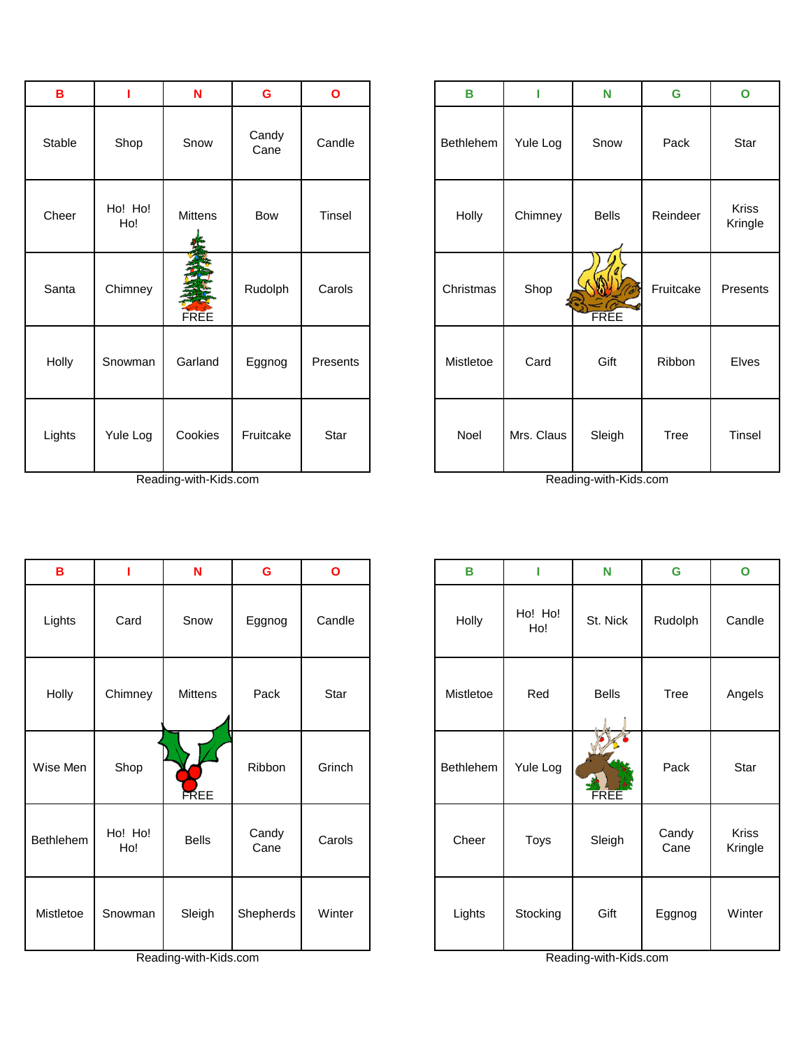| в      | ı              | N           | G             | O        | в                |          |
|--------|----------------|-------------|---------------|----------|------------------|----------|
| Stable | Shop           | Snow        | Candy<br>Cane | Candle   | <b>Bethlehem</b> | Yule Lo  |
| Cheer  | Ho! Ho!<br>Ho! | Mittens     | Bow           | Tinsel   | Holly            | Chimne   |
| Santa  | Chimney        | <b>FREE</b> | Rudolph       | Carols   | Christmas        | Shop     |
| Holly  | Snowman        | Garland     | Eggnog        | Presents | Mistletoe        | Card     |
| Lights | Yule Log       | Cookies     | Fruitcake     | Star     | Noel             | Mrs. Cla |

| $\, {\bf B}$     |                | N            | G             | $\mathbf{o}$ | B         | ı              | N            | G             | $\mathbf{o}$     |
|------------------|----------------|--------------|---------------|--------------|-----------|----------------|--------------|---------------|------------------|
| Lights           | Card           | Snow         | Eggnog        | Candle       | Holly     | Ho! Ho!<br>Ho! | St. Nick     | Rudolph       | Candle           |
| Holly            | Chimney        | Mittens      | Pack          | Star         | Mistletoe | Red            | <b>Bells</b> | Tree          | Angels           |
| Wise Men         | Shop           | <b>FREE</b>  | Ribbon        | Grinch       | Bethlehem | Yule Log       | <b>FREE</b>  | Pack          | Star             |
| <b>Bethlehem</b> | Ho! Ho!<br>Ho! | <b>Bells</b> | Candy<br>Cane | Carols       | Cheer     | Toys           | Sleigh       | Candy<br>Cane | Kriss<br>Kringle |
| Mistletoe        | Snowman        | Sleigh       | Shepherds     | Winter       | Lights    | Stocking       | Gift         | Eggnog        | Winter           |

| B      |                | N            | $\mathbf G$   | $\mathbf{o}$ | $\mathbf B$ | ı          | N            | G         | $\mathbf{o}$     |
|--------|----------------|--------------|---------------|--------------|-------------|------------|--------------|-----------|------------------|
| Stable | Shop           | Snow         | Candy<br>Cane | Candle       | Bethlehem   | Yule Log   | Snow         | Pack      | Star             |
| Cheer  | Ho! Ho!<br>Ho! | Mittens      | Bow           | Tinsel       | Holly       | Chimney    | <b>Bells</b> | Reindeer  | Kriss<br>Kringle |
| Santa  | Chimney        | EN S<br>FREE | Rudolph       | Carols       | Christmas   | Shop       | FREE         | Fruitcake | Presents         |
| Holly  | Snowman        | Garland      | Eggnog        | Presents     | Mistletoe   | Card       | Gift         | Ribbon    | Elves            |
| Lights | Yule Log       | Cookies      | Fruitcake     | Star         | Noel        | Mrs. Claus | Sleigh       | Tree      | Tinsel           |

| $\mathbf B$ | ı              | $\mathbf N$  | G             | $\mathbf{o}$ | B         | I              | N            | G             | $\mathbf{o}$     |
|-------------|----------------|--------------|---------------|--------------|-----------|----------------|--------------|---------------|------------------|
| _ights      | Card           | Snow         | Eggnog        | Candle       | Holly     | Ho! Ho!<br>Ho! | St. Nick     | Rudolph       | Candle           |
| Holly       | Chimney        | Mittens      | Pack          | Star         | Mistletoe | Red            | <b>Bells</b> | <b>Tree</b>   | Angels           |
| se Men      | Shop           | <b>FREE</b>  | Ribbon        | Grinch       | Bethlehem | Yule Log       | <b>FREE</b>  | Pack          | Star             |
| thlehem     | Ho! Ho!<br>Ho! | <b>Bells</b> | Candy<br>Cane | Carols       | Cheer     | <b>Toys</b>    | Sleigh       | Candy<br>Cane | Kriss<br>Kringle |
| istletoe    | Snowman        | Sleigh       | Shepherds     | Winter       | Lights    | Stocking       | Gift         | Eggnog        | Winter           |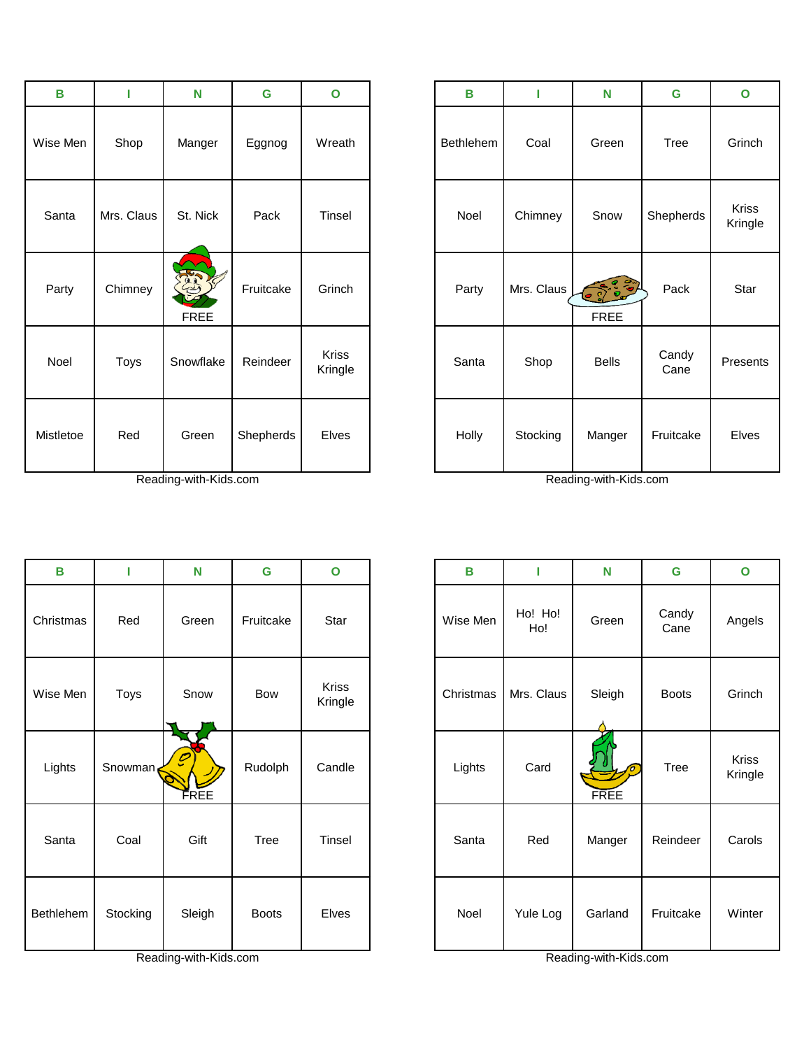| B         |            | $\mathbf N$       | $\mathbf G$ | $\mathbf{o}$            | B         | ı          | N                     | $\mathbf G$   | $\mathbf{o}$            |
|-----------|------------|-------------------|-------------|-------------------------|-----------|------------|-----------------------|---------------|-------------------------|
| Wise Men  | Shop       | Manger            | Eggnog      | Wreath                  | Bethlehem | Coal       | Green                 | <b>Tree</b>   | Grinch                  |
| Santa     | Mrs. Claus | St. Nick          | Pack        | Tinsel                  | Noel      | Chimney    | Snow                  | Shepherds     | <b>Kriss</b><br>Kringle |
| Party     | Chimney    | ES<br><b>FREE</b> | Fruitcake   | Grinch                  | Party     | Mrs. Claus | 000000<br><b>FREE</b> | Pack          | Star                    |
| Noel      | Toys       | Snowflake         | Reindeer    | <b>Kriss</b><br>Kringle | Santa     | Shop       | <b>Bells</b>          | Candy<br>Cane | Present                 |
| Mistletoe | Red        | Green             | Shepherds   | Elves                   | Holly     | Stocking   | Manger                | Fruitcake     | Elves                   |

| B                | т        | N                                  | G            | $\mathbf{o}$     | B         | I              | N                | G             | $\mathbf{o}$            |
|------------------|----------|------------------------------------|--------------|------------------|-----------|----------------|------------------|---------------|-------------------------|
| Christmas        | Red      | Green                              | Fruitcake    | Star             | Wise Men  | Ho! Ho!<br>Ho! | Green            | Candy<br>Cane | Angels                  |
| Wise Men         | Toys     | Snow                               | Bow          | Kriss<br>Kringle | Christmas | Mrs. Claus     | Sleigh           | <b>Boots</b>  | Grinch                  |
| Lights           | Snowman  | $\boldsymbol{\mathcal{O}}$<br>FREE | Rudolph      | Candle           | Lights    | Card           | o<br><b>FREE</b> | <b>Tree</b>   | <b>Kriss</b><br>Kringle |
| Santa            | Coal     | Gift                               | Tree         | Tinsel           | Santa     | Red            | Manger           | Reindeer      | Carols                  |
| <b>Bethlehem</b> | Stocking | Sleigh                             | <b>Boots</b> | Elves            | Noel      | Yule Log       | Garland          | Fruitcake     | Winter                  |

| В         | ı          | N                          | G         | $\mathbf{o}$            | B         |            | N                        | $\mathbf G$   | $\mathbf{o}$            |
|-----------|------------|----------------------------|-----------|-------------------------|-----------|------------|--------------------------|---------------|-------------------------|
| ise Men   | Shop       | Manger                     | Eggnog    | Wreath                  | Bethlehem | Coal       | Green                    | Tree          | Grinch                  |
| Santa     | Mrs. Claus | St. Nick                   | Pack      | Tinsel                  | Noel      | Chimney    | Snow                     | Shepherds     | <b>Kriss</b><br>Kringle |
| Party     | Chimney    | <b>REST</b><br><b>FREE</b> | Fruitcake | Grinch                  | Party     | Mrs. Claus | (3, 3, 3)<br><b>FREE</b> | Pack          | Star                    |
| Noel      | Toys       | Snowflake                  | Reindeer  | <b>Kriss</b><br>Kringle | Santa     | Shop       | <b>Bells</b>             | Candy<br>Cane | Presents                |
| listletoe | Red        | Green                      | Shepherds | Elves                   | Holly     | Stocking   | Manger                   | Fruitcake     | Elves                   |

| В        | т        | N      | G            | $\mathbf{o}$     | В         | П              | N                | G             | $\mathbf{o}$     |
|----------|----------|--------|--------------|------------------|-----------|----------------|------------------|---------------|------------------|
| าristmas | Red      | Green  | Fruitcake    | Star             | Wise Men  | Ho! Ho!<br>Ho! | Green            | Candy<br>Cane | Angels           |
| ise Men  | Toys     | Snow   | Bow          | Kriss<br>Kringle | Christmas | Mrs. Claus     | Sleigh           | <b>Boots</b>  | Grinch           |
| Lights   | Snowman  | FREE   | Rudolph      | Candle           | Lights    | Card           | o<br><b>FREE</b> | <b>Tree</b>   | Kriss<br>Kringle |
| Santa    | Coal     | Gift   | Tree         | Tinsel           | Santa     | Red            | Manger           | Reindeer      | Carols           |
| thlehem  | Stocking | Sleigh | <b>Boots</b> | Elves            | Noel      | Yule Log       | Garland          | Fruitcake     | Winter           |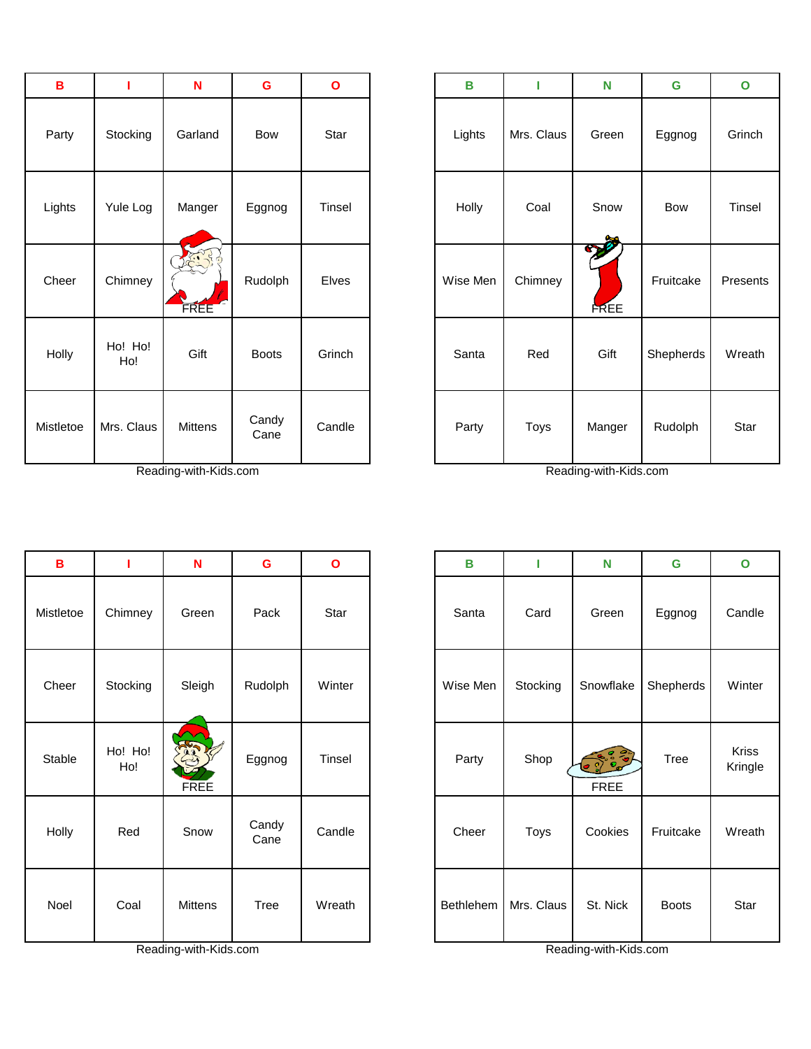| в         |                | N              | G             | O             |
|-----------|----------------|----------------|---------------|---------------|
| Party     | Stocking       | Garland        | <b>Bow</b>    | Star          |
| Lights    | Yule Log       | Manger         | Eggnog        | <b>Tinsel</b> |
| Cheer     | Chimney        | FREE           | Rudolph       | <b>Elves</b>  |
| Holly     | Ho! Ho!<br>Ho! | Gift           | <b>Boots</b>  | Grinch        |
| Mistletoe | Mrs. Claus     | <b>Mittens</b> | Candy<br>Cane | Candle        |

Reading-with-Kids.com Reading-with-Kids.com

| B         | т              | N                   | G             | $\mathbf{o}$ | B        | ı          | N                  | G         | $\mathbf{o}$  |
|-----------|----------------|---------------------|---------------|--------------|----------|------------|--------------------|-----------|---------------|
| Party     | Stocking       | Garland             | Bow           | Star         | Lights   | Mrs. Claus | Green              | Eggnog    | Grinch        |
| Lights    | Yule Log       | Manger              | Eggnog        | Tinsel       | Holly    | Coal       | Snow               | Bow       | <b>Tinsel</b> |
| Cheer     | Chimney        | 1.35<br><b>FREE</b> | Rudolph       | Elves        | Wise Men | Chimney    | 200<br><b>FREE</b> | Fruitcake | Presents      |
| Holly     | Ho! Ho!<br>Ho! | Gift                | <b>Boots</b>  | Grinch       | Santa    | Red        | Gift               | Shepherds | Wreath        |
| listletoe | Mrs. Claus     | <b>Mittens</b>      | Candy<br>Cane | Candle       | Party    | Toys       | Manger             | Rudolph   | Star          |

| $\, {\bf B}$ |                | $\mathbf N$       | $\mathbf G$   | $\mathbf{o}$ | $\mathbf B$ |            | N                           | $\mathbf G$  | $\mathbf{o}$     |
|--------------|----------------|-------------------|---------------|--------------|-------------|------------|-----------------------------|--------------|------------------|
| Mistletoe    | Chimney        | Green             | Pack          | Star         | Santa       | Card       | Green                       | Eggnog       | Candle           |
| Cheer        | Stocking       | Sleigh            | Rudolph       | Winter       | Wise Men    | Stocking   | Snowflake                   | Shepherds    | Winter           |
| Stable       | Ho! Ho!<br>Ho! | ES<br><b>FREE</b> | Eggnog        | Tinsel       | Party       | Shop       | <b>CONGO</b><br><b>FREE</b> | Tree         | Kriss<br>Kringle |
| Holly        | Red            | Snow              | Candy<br>Cane | Candle       | Cheer       | Toys       | Cookies                     | Fruitcake    | Wreath           |
| Noel         | Coal           | Mittens           | Tree          | Wreath       | Bethlehem   | Mrs. Claus | St. Nick                    | <b>Boots</b> | Star             |

| G             | $\mathbf{o}$ | B         | I          | N                                           | G            | $\mathbf{o}$            |
|---------------|--------------|-----------|------------|---------------------------------------------|--------------|-------------------------|
| Pack          | Star         | Santa     | Card       | Green                                       | Eggnog       | Candle                  |
| udolph        | Winter       | Wise Men  | Stocking   | Snowflake                                   | Shepherds    | Winter                  |
| ggnog         | Tinsel       | Party     | Shop       | $\frac{3}{2}$<br>$\bullet$ 2<br><b>FREE</b> | <b>Tree</b>  | <b>Kriss</b><br>Kringle |
| Candy<br>Cane | Candle       | Cheer     | Toys       | Cookies                                     | Fruitcake    | Wreath                  |
| <b>Tree</b>   | Wreath       | Bethlehem | Mrs. Claus | St. Nick                                    | <b>Boots</b> | Star                    |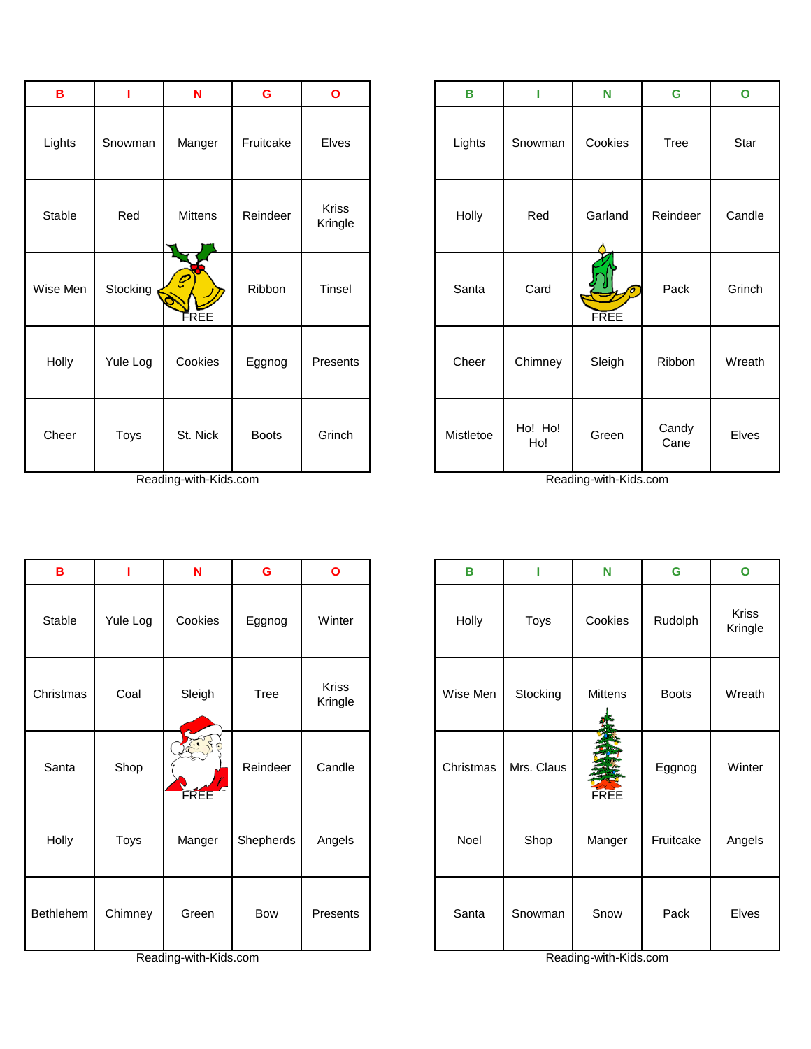| B        |          | $\mathbf N$                        | $\mathbf G$  | $\mathbf{o}$            | $\, {\bf B}$ |                | N                       | G             | $\mathbf{o}$ |
|----------|----------|------------------------------------|--------------|-------------------------|--------------|----------------|-------------------------|---------------|--------------|
| Lights   | Snowman  | Manger                             | Fruitcake    | Elves                   | Lights       | Snowman        | Cookies                 | Tree          | Star         |
| Stable   | Red      | Mittens                            | Reindeer     | <b>Kriss</b><br>Kringle | Holly        | Red            | Garland                 | Reindeer      | Cand         |
| Wise Men | Stocking | $\boldsymbol{\mathcal{C}}$<br>FREE | Ribbon       | Tinsel                  | Santa        | Card           | $\sigma$<br><b>FREE</b> | Pack          | Grinc        |
| Holly    | Yule Log | Cookies                            | Eggnog       | Presents                | Cheer        | Chimney        | Sleigh                  | Ribbon        | Wrea         |
| Cheer    | Toys     | St. Nick                           | <b>Boots</b> | Grinch                  | Mistletoe    | Ho! Ho!<br>Ho! | Green                   | Candy<br>Cane | Elve:        |

| B                |          | N            | G         | $\mathbf{o}$            | B         | ı          | N              | G            | $\mathbf 0$      |
|------------------|----------|--------------|-----------|-------------------------|-----------|------------|----------------|--------------|------------------|
| Stable           | Yule Log | Cookies      | Eggnog    | Winter                  | Holly     | Toys       | Cookies        | Rudolph      | Kriss<br>Kringle |
| Christmas        | Coal     | Sleigh       | Tree      | <b>Kriss</b><br>Kringle | Wise Men  | Stocking   | <b>Mittens</b> | <b>Boots</b> | Wreat            |
| Santa            | Shop     | 5.25<br>FREE | Reindeer  | Candle                  | Christmas | Mrs. Claus | FREE           | Eggnog       | Winte            |
| Holly            | Toys     | Manger       | Shepherds | Angels                  | Noel      | Shop       | Manger         | Fruitcake    | Angel:           |
| <b>Bethlehem</b> | Chimney  | Green        | Bow       | Presents                | Santa     | Snowman    | Snow           | Pack         | Elves            |

| $\, {\bf B}$  |          | $\mathbf N$              | G            | $\mathbf{o}$     | B         |                | N                | G             |  |
|---------------|----------|--------------------------|--------------|------------------|-----------|----------------|------------------|---------------|--|
| _ights        | Snowman  | Manger                   | Fruitcake    | Elves            | Lights    | Snowman        | Cookies          | Tree          |  |
| <b>Stable</b> | Red      | Mittens                  | Reindeer     | Kriss<br>Kringle | Holly     | Red            | Garland          | Reindeer      |  |
| se Men        | Stocking | $\boldsymbol{p}$<br>FREE | Ribbon       | Tinsel           | Santa     | Card           | ъ<br><b>FREE</b> | Pack          |  |
| Holly         | Yule Log | Cookies                  | Eggnog       | Presents         | Cheer     | Chimney        | Sleigh           | Ribbon        |  |
| Cheer         | Toys     | St. Nick                 | <b>Boots</b> | Grinch           | Mistletoe | Ho! Ho!<br>Ho! | Green            | Candy<br>Cane |  |

| B             |          | N       | G         | $\mathbf{o}$            | B         | ı          | N                   | G            | $\mathbf{o}$     |
|---------------|----------|---------|-----------|-------------------------|-----------|------------|---------------------|--------------|------------------|
| <b>Stable</b> | Yule Log | Cookies | Eggnog    | Winter                  | Holly     | Toys       | Cookies             | Rudolph      | Kriss<br>Kringle |
| hristmas      | Coal     | Sleigh  | Tree      | <b>Kriss</b><br>Kringle | Wise Men  | Stocking   | Mittens             | <b>Boots</b> | Wreath           |
| Santa         | Shop     | FREE    | Reindeer  | Candle                  | Christmas | Mrs. Claus | <b>TANK</b><br>FREE | Eggnog       | Winter           |
| Holly         | Toys     | Manger  | Shepherds | Angels                  | Noel      | Shop       | Manger              | Fruitcake    | Angels           |
| ethlehem      | Chimney  | Green   | Bow       | Presents                | Santa     | Snowman    | Snow                | Pack         | Elves            |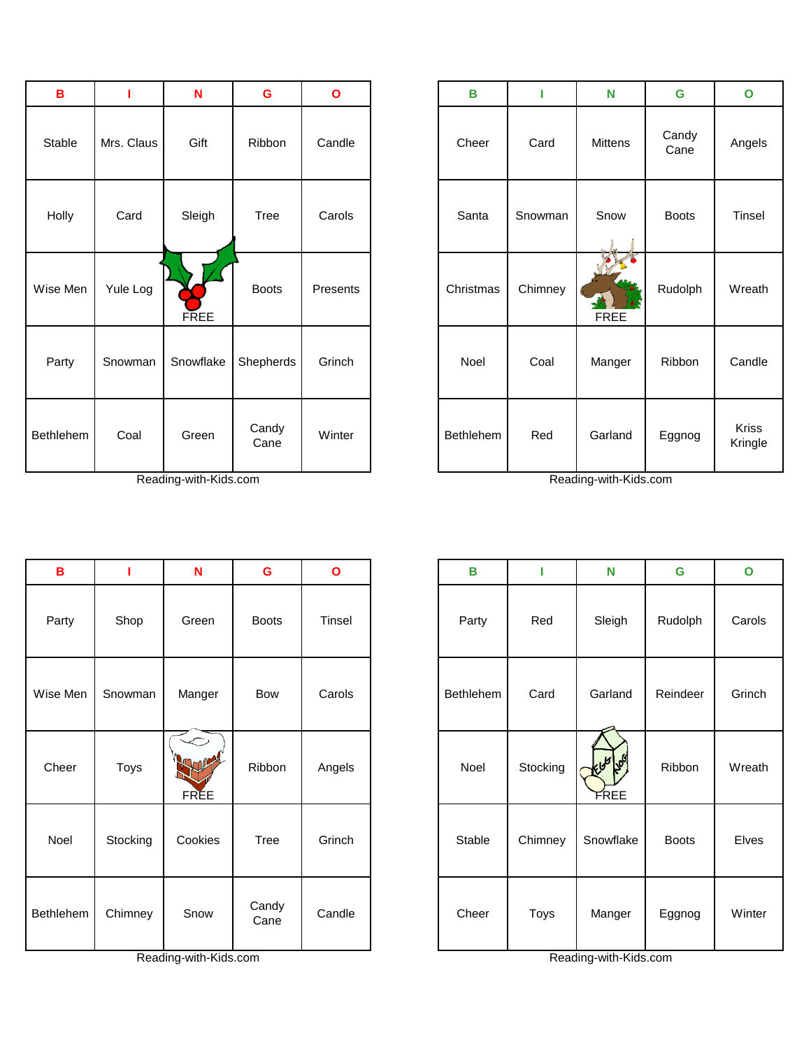| $\, {\bf B}$     |            | N           | $\mathbf G$   | $\mathbf{o}$ | B         | г       | N              | G             |
|------------------|------------|-------------|---------------|--------------|-----------|---------|----------------|---------------|
| Stable           | Mrs. Claus | Gift        | Ribbon        | Candle       | Cheer     | Card    | <b>Mittens</b> | Candy<br>Cane |
| Holly            | Card       | Sleigh      | <b>Tree</b>   | Carols       | Santa     | Snowman | Snow           | <b>Boots</b>  |
| Wise Men         | Yule Log   | <b>FREE</b> | <b>Boots</b>  | Presents     | Christmas | Chimney | <b>FREE</b>    | Rudolph       |
| Party            | Snowman    | Snowflake   | Shepherds     | Grinch       | Noel      | Coal    | Manger         | Ribbon        |
| <b>Bethlehem</b> | Coal       | Green       | Candy<br>Cane | Winter       | Bethlehem | Red     | Garland        | Eggnog        |

| в       |            | $\mathbf N$ | G             | $\mathbf{o}$ | B         |         | $\mathbf N$ | G             | $\mathbf{o}$     |
|---------|------------|-------------|---------------|--------------|-----------|---------|-------------|---------------|------------------|
| Stable  | Mrs. Claus | Gift        | Ribbon        | Candle       | Cheer     | Card    | Mittens     | Candy<br>Cane | Angels           |
| Holly   | Card       | Sleigh      | Tree          | Carols       | Santa     | Snowman | Snow        | <b>Boots</b>  | Tinsel           |
| ise Men | Yule Log   | <b>FREE</b> | <b>Boots</b>  | Presents     | Christmas | Chimney | <b>FREE</b> | Rudolph       | Wreath           |
| Party   | Snowman    | Snowflake   | Shepherds     | Grinch       | Noel      | Coal    | Manger      | Ribbon        | Candle           |
| thlehem | Coal       | Green       | Candy<br>Cane | Winter       | Bethlehem | Red     | Garland     | Eggnog        | Kriss<br>Kringle |

| $\mathbf B$ |          | N           | $\mathbf G$   | $\mathbf{o}$ | В         | т        | N                            | G            | $\mathbf{o}$ |
|-------------|----------|-------------|---------------|--------------|-----------|----------|------------------------------|--------------|--------------|
| Party       | Shop     | Green       | <b>Boots</b>  | Tinsel       | Party     | Red      | Sleigh                       | Rudolph      | Carols       |
| Wise Men    | Snowman  | Manger      | Bow           | Carols       | Bethlehem | Card     | Garland                      | Reindeer     | Grinch       |
| Cheer       | Toys     | <b>FREE</b> | Ribbon        | Angels       | Noel      | Stocking | ل <i>گه</i> ا کلوایل<br>FREE | Ribbon       | Wreath       |
| Noel        | Stocking | Cookies     | Tree          | Grinch       | Stable    | Chimney  | Snowflake                    | <b>Boots</b> | Elves        |
| Bethlehem   | Chimney  | Snow        | Candy<br>Cane | Candle       | Cheer     | Toys     | Manger                       | Eggnog       | Winter       |

| B       |          | N           | G             | $\mathbf{o}$ | в         |          | N                    | $\mathbf G$  | $\mathbf{o}$ |
|---------|----------|-------------|---------------|--------------|-----------|----------|----------------------|--------------|--------------|
| Party   | Shop     | Green       | <b>Boots</b>  | Tinsel       | Party     | Red      | Sleigh               | Rudolph      | Carols       |
| ise Men | Snowman  | Manger      | Bow           | Carols       | Bethlehem | Card     | Garland              | Reindeer     | Grinch       |
| Cheer   | Toys     | <b>FREE</b> | Ribbon        | Angels       | Noel      | Stocking | إكلها طلمايه<br>FREE | Ribbon       | Wreath       |
| Noel    | Stocking | Cookies     | Tree          | Grinch       | Stable    | Chimney  | Snowflake            | <b>Boots</b> | Elves        |
| thlehem | Chimney  | Snow        | Candy<br>Cane | Candle       | Cheer     | Toys     | Manger               | Eggnog       | Winter       |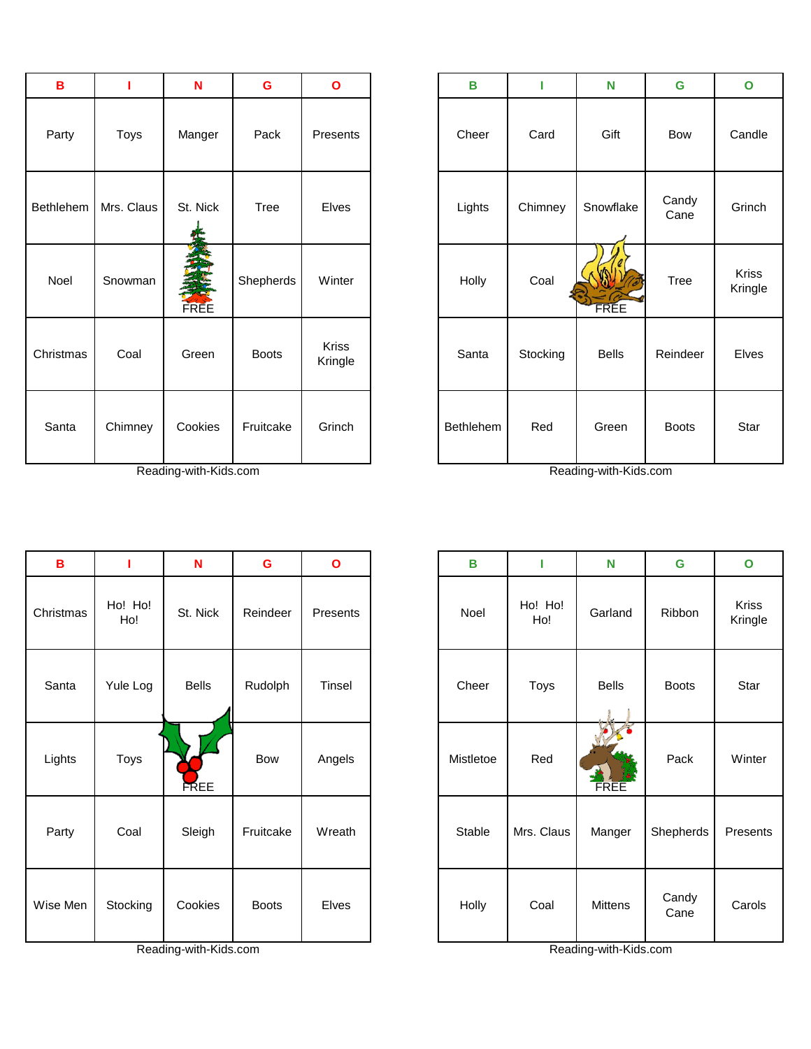| $\, {\bf B}$ | 1          | $\mathbf N$ | G            | $\mathbf{o}$            | В         | T        | N            | G             | $\mathbf{o}$          |
|--------------|------------|-------------|--------------|-------------------------|-----------|----------|--------------|---------------|-----------------------|
| Party        | Toys       | Manger      | Pack         | Presents                | Cheer     | Card     | Gift         | Bow           | Cand                  |
| Bethlehem    | Mrs. Claus | St. Nick    | <b>Tree</b>  | Elves                   | Lights    | Chimney  | Snowflake    | Candy<br>Cane | Grinc                 |
| Noel         | Snowman    | FREE        | Shepherds    | Winter                  | Holly     | Coal     | FREE         | Tree          | <b>Kriss</b><br>Kring |
| Christmas    | Coal       | Green       | <b>Boots</b> | <b>Kriss</b><br>Kringle | Santa     | Stocking | <b>Bells</b> | Reindeer      | <b>Elves</b>          |
| Santa        | Chimney    | Cookies     | Fruitcake    | Grinch                  | Bethlehem | Red      | Green        | <b>Boots</b>  | Star                  |

Reading-with-Kids.com Reading-with-Kids.com

| в        | ı                                 | N                                                    | G            | $\mathbf{o}$     | B         | Т             | N                                                                   | $\mathbf G$   | $\mathbf{o}$     |
|----------|-----------------------------------|------------------------------------------------------|--------------|------------------|-----------|---------------|---------------------------------------------------------------------|---------------|------------------|
| Party    | Toys                              | Manger                                               | Pack         | Presents         | Cheer     | Card          | Gift                                                                | Bow           | Candle           |
| thlehem  | Mrs. Claus                        | St. Nick                                             | Tree         | Elves            | Lights    | Chimney       | Snowflake                                                           | Candy<br>Cane | Grinch           |
| Noel     | Snowman                           | <b>FREE</b>                                          | Shepherds    | Winter           | Holly     | Coal          | <b>FREE</b>                                                         | Tree          | Kriss<br>Kringle |
| iristmas | Coal                              | Green                                                | <b>Boots</b> | Kriss<br>Kringle | Santa     | Stocking      | <b>Bells</b>                                                        | Reindeer      | Elves            |
| Santa    | Chimney<br>$\sim$<br>$\mathbf{r}$ | Cookies<br>$\sim$ $\sim$ $\sim$ $\sim$ $\sim$ $\sim$ | Fruitcake    | Grinch           | Bethlehem | Red<br>$\sim$ | Green<br>$\mathbf{r}$ and $\mathbf{r}$ and $\mathbf{r}$<br>$\cdots$ | <b>Boots</b>  | Star             |

| $\, {\bf B}$ | т              | N            | G            | $\mathbf{o}$ | B         | т              | N            | G             | $\mathbf O$           |
|--------------|----------------|--------------|--------------|--------------|-----------|----------------|--------------|---------------|-----------------------|
| Christmas    | Ho! Ho!<br>Ho! | St. Nick     | Reindeer     | Presents     | Noel      | Ho! Ho!<br>Ho! | Garland      | Ribbon        | <b>Kriss</b><br>Kring |
| Santa        | Yule Log       | <b>Bells</b> | Rudolph      | Tinsel       | Cheer     | Toys           | <b>Bells</b> | <b>Boots</b>  | Star                  |
| Lights       | Toys           | FREE         | Bow          | Angels       | Mistletoe | Red            | FREE         | Pack          | Winte                 |
| Party        | Coal           | Sleigh       | Fruitcake    | Wreath       | Stable    | Mrs. Claus     | Manger       | Shepherds     | Preser                |
| Wise Men     | Stocking       | Cookies      | <b>Boots</b> | Elves        | Holly     | Coal           | Mittens      | Candy<br>Cane | Carol                 |

| B        |                | N            | G            | $\mathbf{o}$ | В         |                | N            | $\mathbf G$   | $\mathbf{o}$     |
|----------|----------------|--------------|--------------|--------------|-----------|----------------|--------------|---------------|------------------|
| ıristmas | Ho! Ho!<br>Ho! | St. Nick     | Reindeer     | Presents     | Noel      | Ho! Ho!<br>Ho! | Garland      | Ribbon        | Kriss<br>Kringle |
| Santa    | Yule Log       | <b>Bells</b> | Rudolph      | Tinsel       | Cheer     | Toys           | <b>Bells</b> | <b>Boots</b>  | Star             |
| ∟ights   | <b>Toys</b>    | <b>FREE</b>  | Bow          | Angels       | Mistletoe | Red            | <b>FREE</b>  | Pack          | Winter           |
| Party    | Coal           | Sleigh       | Fruitcake    | Wreath       | Stable    | Mrs. Claus     | Manger       | Shepherds     | Presents         |
| ise Men  | Stocking       | Cookies      | <b>Boots</b> | Elves        | Holly     | Coal           | Mittens      | Candy<br>Cane | Carols           |